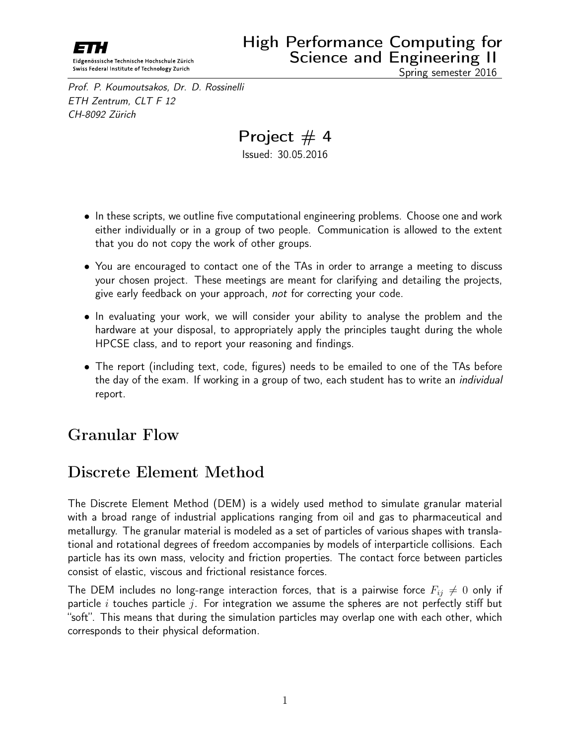

Prof. P. Koumoutsakos, Dr. D. Rossinelli ETH Zentrum, CLT F 12 CH-8092 Zürich

Project  $# 4$ Issued: 30.05.2016

- In these scripts, we outline five computational engineering problems. Choose one and work either individually or in a group of two people. Communication is allowed to the extent that you do not copy the work of other groups.
- You are encouraged to contact one of the TAs in order to arrange a meeting to discuss your chosen project. These meetings are meant for clarifying and detailing the projects, give early feedback on your approach, not for correcting your code.
- In evaluating your work, we will consider your ability to analyse the problem and the hardware at your disposal, to appropriately apply the principles taught during the whole HPCSE class, and to report your reasoning and findings.
- The report (including text, code, figures) needs to be emailed to one of the TAs before the day of the exam. If working in a group of two, each student has to write an *individual* report.

## Granular Flow

## Discrete Element Method

The Discrete Element Method (DEM) is a widely used method to simulate granular material with a broad range of industrial applications ranging from oil and gas to pharmaceutical and metallurgy. The granular material is modeled as a set of particles of various shapes with translational and rotational degrees of freedom accompanies by models of interparticle collisions. Each particle has its own mass, velocity and friction properties. The contact force between particles consist of elastic, viscous and frictional resistance forces.

The DEM includes no long-range interaction forces, that is a pairwise force  $F_{ij} \neq 0$  only if particle i touches particle j. For integration we assume the spheres are not perfectly stiff but "soft". This means that during the simulation particles may overlap one with each other, which corresponds to their physical deformation.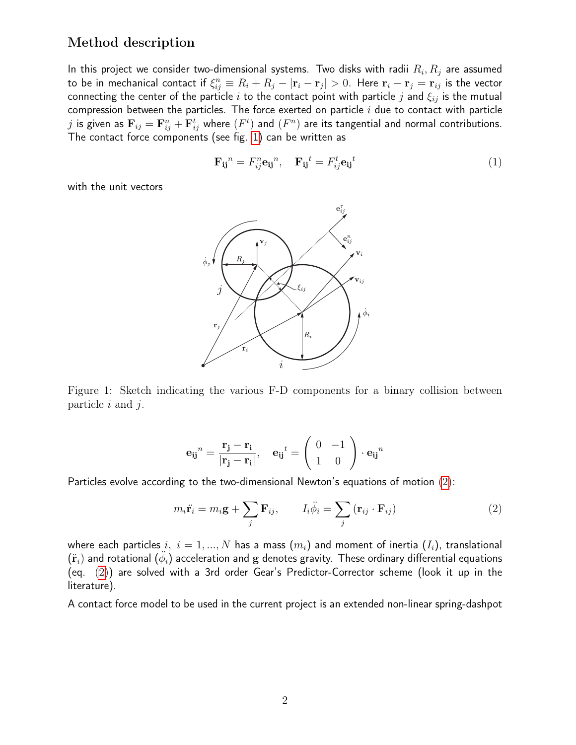## Method description

In this project we consider two-dimensional systems. Two disks with radii  $R_i,R_j$  are assumed to be in mechanical contact if  $\xi_{ij}^n\equiv R_i+R_j-|{\bf r}_i-{\bf r}_j|>0.$  Here  ${\bf r}_i-{\bf r}_j={\bf r}_{ij}$  is the vector connecting the center of the particle i to the contact point with particle j and  $\xi_{ij}$  is the mutual compression between the particles. The force exerted on particle  $i$  due to contact with particle  $j$  is given as  ${\bf F}_{ij}={\bf F}_{ij}^n+{\bf F}_{ij}^t$  where  $(F^t)$  and  $(F^n)$  are its tangential and normal contributions. The contact force components (see fig. [1\)](#page-1-0) can be written as

$$
\mathbf{F}_{\mathbf{ij}}^n = F_{ij}^n \mathbf{e}_{\mathbf{ij}}^n, \quad \mathbf{F}_{\mathbf{ij}}^t = F_{ij}^t \mathbf{e}_{\mathbf{ij}}^t \tag{1}
$$

with the unit vectors



<span id="page-1-0"></span>Figure 1: Sketch indicating the various F-D components for a binary collision between Figure 1: Sketch indicating the various F-D components for a binary collision between particle  $i$  and  $j$ .

$$
\mathbf{e_{ij}}^n = \frac{\mathbf{r_j} - \mathbf{r_i}}{|\mathbf{r_j} - \mathbf{r_i}|}, \quad \mathbf{e_{ij}}^t = \left(\begin{array}{cc} 0 & -1\\ 1 & 0 \end{array}\right) \cdot \mathbf{e_{ij}}^n
$$

Particles evolve according to the two-dimensional Newton's equations of motion [\(2\)](#page-1-1):

<span id="page-1-1"></span>
$$
m_i \ddot{\mathbf{r}}_i = m_i \mathbf{g} + \sum_j \mathbf{F}_{ij}, \qquad I_i \ddot{\phi}_i = \sum_j (\mathbf{r}_{ij} \cdot \mathbf{F}_{ij})
$$
 (2)

where each particles i,  $i = 1, ..., N$  has a mass  $(m_i)$  and moment of inertia  $(I_i)$ , translational  $(\ddot{\bf r}_i)$  and rotational  $(\ddot{\phi}_i)$  acceleration and  ${\bf g}$  denotes gravity. These ordinary differential equations (eq. [\(2\)](#page-1-1)) are solved with a 3rd order Gear's Predictor-Corrector scheme (look it up in the literature).

A contact force model to be used in the current project is an extended non-linear spring-dashpot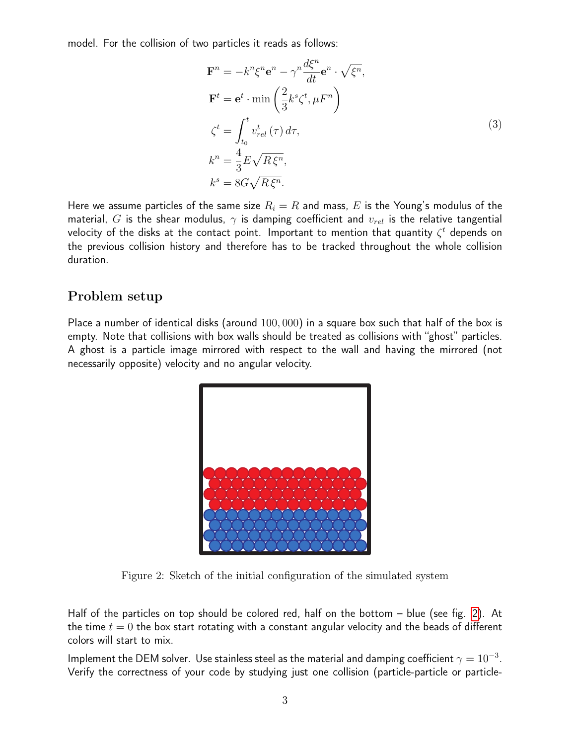model. For the collision of two particles it reads as follows:

$$
\mathbf{F}^{n} = -k^{n}\xi^{n}\mathbf{e}^{n} - \gamma^{n}\frac{d\xi^{n}}{dt}\mathbf{e}^{n} \cdot \sqrt{\xi^{n}},
$$
  
\n
$$
\mathbf{F}^{t} = \mathbf{e}^{t} \cdot \min\left(\frac{2}{3}k^{s}\zeta^{t}, \mu F^{n}\right)
$$
  
\n
$$
\zeta^{t} = \int_{t_{0}}^{t} v_{rel}^{t}(\tau) d\tau,
$$
  
\n
$$
k^{n} = \frac{4}{3}E\sqrt{R\xi^{n}},
$$
  
\n
$$
k^{s} = 8G\sqrt{R\xi^{n}}.
$$
  
\n(3)

Here we assume particles of the same size  $R_i = R$  and mass, E is the Young's modulus of the material, G is the shear modulus,  $\gamma$  is damping coefficient and  $v_{rel}$  is the relative tangential velocity of the disks at the contact point. Important to mention that quantity  $\zeta^t$  depends on the previous collision history and therefore has to be tracked throughout the whole collision duration.

## Problem setup

Place a number of identical disks (around 100, 000) in a square box such that half of the box is empty. Note that collisions with box walls should be treated as collisions with "ghost" particles. A ghost is a particle image mirrored with respect to the wall and having the mirrored (not necessarily opposite) velocity and no angular velocity.



Figure 2: Sketch of the initial configuration of the simulated system Figure 2: Sketch of the initial configuration of the simulated system

<span id="page-2-0"></span>Half of the particles on top should be colored red, half on the bottom – blue (see fig. [2\)](#page-2-0). At the time  $t = 0$  the box start rotating with a constant angular velocity and the beads of different colors will start to mix.

Implement the DEM solver. Use stainless steel as the material and damping coefficient  $\gamma=10^{-3}$ . Verify the correctness of your code by studying just one collision (particle-particle or particle